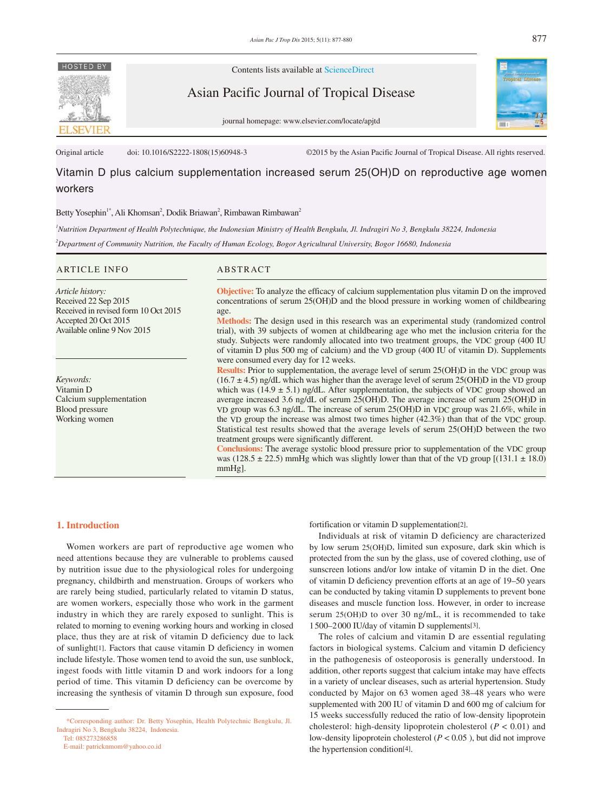

Contents lists available at ScienceDirect

Asian Pacific Journal of Tropical Disease

journal homepage: www.elsevier.com/locate/apjtd



Original article doi: 10.1016/S2222-1808(15)60948-3 ©2015 by the Asian Pacific Journal of Tropical Disease. All rights reserved.

# Vitamin D plus calcium supplementation increased serum 25(OH)D on reproductive age women workers

# Betty Yosephin<sup>1\*</sup>, Ali Khomsan<sup>2</sup>, Dodik Briawan<sup>2</sup>, Rimbawan Rimbawan<sup>2</sup>

*1 Nutrition Department of Health Polytechnique, the Indonesian Ministry of Health Bengkulu, Jl. Indragiri No 3, Bengkulu 38224, Indonesia*

*2 Department of Community Nutrition, the Faculty of Human Ecology, Bogor Agricultural University, Bogor 16680, Indonesia*

### ARTICLE INFO ABSTRACT

*Article history:* Received 22 Sep 2015 Received in revised form 10 Oct 2015 Accepted 20 Oct 2015 Available online 9 Nov 2015

*Keywords:* Vitamin D Calcium supplementation Blood pressure Working women

**Objective:** To analyze the efficacy of calcium supplementation plus vitamin D on the improved concentrations of serum 25(OH)D and the blood pressure in working women of childbearing age.

**Methods:** The design used in this research was an experimental study (randomized control trial), with 39 subjects of women at childbearing age who met the inclusion criteria for the study. Subjects were randomly allocated into two treatment groups, the VDC group (400 IU of vitamin D plus 500 mg of calcium) and the VD group (400 IU of vitamin D). Supplements were consumed every day for 12 weeks.

**Results:** Prior to supplementation, the average level of serum 25(OH)D in the VDC group was  $(16.7 \pm 4.5)$  ng/dL which was higher than the average level of serum 25(OH)D in the VD group which was  $(14.9 \pm 5.1)$  ng/dL. After supplementation, the subjects of VDC group showed an average increased 3.6 ng/dL of serum 25(OH)D. The average increase of serum 25(OH)D in VD group was 6.3 ng/dL. The increase of serum 25(OH)D in VDC group was 21.6%, while in the VD group the increase was almost two times higher (42.3%) than that of the VDC group. Statistical test results showed that the average levels of serum 25(OH)D between the two treatment groups were significantly different.

**Conclusions:** The average systolic blood pressure prior to supplementation of the VDC group was (128.5  $\pm$  22.5) mmHg which was slightly lower than that of the VD group [(131.1  $\pm$  18.0) mmHg].

# **1. Introduction**

 Women workers are part of reproductive age women who need attentions because they are vulnerable to problems caused by nutrition issue due to the physiological roles for undergoing pregnancy, childbirth and menstruation. Groups of workers who are rarely being studied, particularly related to vitamin D status, are women workers, especially those who work in the garment industry in which they are rarely exposed to sunlight. This is related to morning to evening working hours and working in closed place, thus they are at risk of vitamin D deficiency due to lack of sunlight[1]. Factors that cause vitamin D deficiency in women include lifestyle. Those women tend to avoid the sun, use sunblock, ingest foods with little vitamin D and work indoors for a long period of time. This vitamin D deficiency can be overcome by increasing the synthesis of vitamin D through sun exposure, food

Tel: 085273286858

E-mail: patricknmom@yahoo.co.id

fortification or vitamin D supplementation[2].

 Individuals at risk of vitamin D deficiency are characterized by low serum 25(OH)D, limited sun exposure, dark skin which is protected from the sun by the glass, use of covered clothing, use of sunscreen lotions and/or low intake of vitamin D in the diet. One of vitamin D deficiency prevention efforts at an age of 19–50 years can be conducted by taking vitamin D supplements to prevent bone diseases and muscle function loss. However, in order to increase serum 25(OH)D to over 30 ng/mL, it is recommended to take 1500–2000 IU/day of vitamin D supplements[3].

 The roles of calcium and vitamin D are essential regulating factors in biological systems. Calcium and vitamin D deficiency in the pathogenesis of osteoporosis is generally understood. In addition, other reports suggest that calcium intake may have effects in a variety of unclear diseases, such as arterial hypertension. Study conducted by Major on 63 women aged 38–48 years who were supplemented with 200 IU of vitamin D and 600 mg of calcium for 15 weeks successfully reduced the ratio of low-density lipoprotein cholesterol: high-density lipoprotein cholesterol  $(P < 0.01)$  and low-density lipoprotein cholesterol (*P* < 0.05 ), but did not improve the hypertension condition[4].

 <sup>\*</sup>Corresponding author: Dr. Betty Yosephin, Health Polytechnic Bengkulu, Jl. Indragiri No 3, Bengkulu 38224, Indonesia.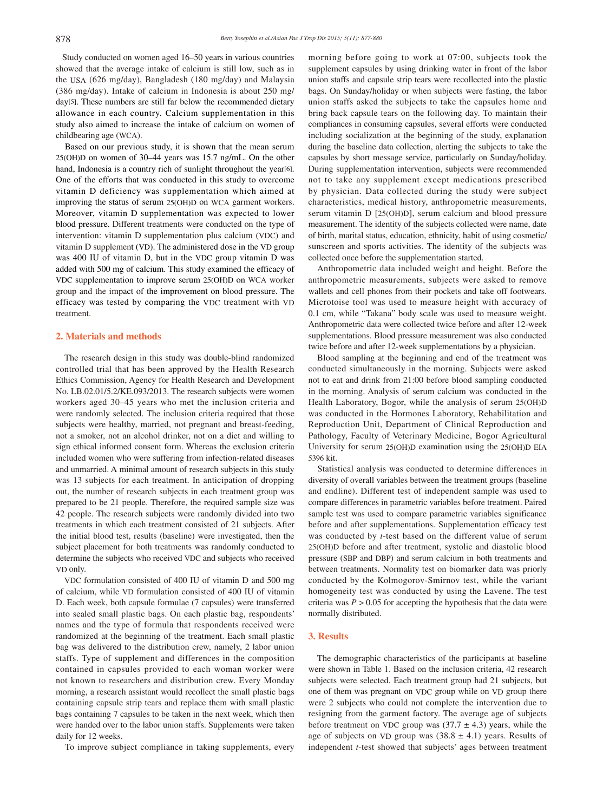Study conducted on women aged 16–50 years in various countries showed that the average intake of calcium is still low, such as in the USA (626 mg/day), Bangladesh (180 mg/day) and Malaysia (386 mg/day). Intake of calcium in Indonesia is about 250 mg/ day<sup>[5]</sup>. These numbers are still far below the recommended dietary allowance in each country. Calcium supplementation in this study also aimed to increase the intake of calcium on women of childbearing age (WCA).

 Based on our previous study, it is shown that the mean serum 25(OH)D on women of 30–44 years was 15.7 ng/mL. On the other hand, Indonesia is a country rich of sunlight throughout the year[6]. One of the efforts that was conducted in this study to overcome vitamin D deficiency was supplementation which aimed at improving the status of serum 25(OH)D on WCA garment workers. Moreover, vitamin D supplementation was expected to lower blood pressure. Different treatments were conducted on the type of intervention: vitamin D supplementation plus calcium (VDC) and vitamin D supplement (VD). The administered dose in the VD group was 400 IU of vitamin D, but in the VDC group vitamin D was added with 500 mg of calcium. This study examined the efficacy of VDC supplementation to improve serum 25(OH)D on WCA worker group and the impact of the improvement on blood pressure. The efficacy was tested by comparing the VDC treatment with VD treatment.

### **2. Materials and methods**

 The research design in this study was double-blind randomized controlled trial that has been approved by the Health Research Ethics Commission, Agency for Health Research and Development No. LB.02.01/5.2/KE.093/2013. The research subjects were women workers aged 30–45 years who met the inclusion criteria and were randomly selected. The inclusion criteria required that those subjects were healthy, married, not pregnant and breast-feeding, not a smoker, not an alcohol drinker, not on a diet and willing to sign ethical informed consent form. Whereas the exclusion criteria included women who were suffering from infection-related diseases and unmarried. A minimal amount of research subjects in this study was 13 subjects for each treatment. In anticipation of dropping out, the number of research subjects in each treatment group was prepared to be 21 people. Therefore, the required sample size was 42 people. The research subjects were randomly divided into two treatments in which each treatment consisted of 21 subjects. After the initial blood test, results (baseline) were investigated, then the subject placement for both treatments was randomly conducted to determine the subjects who received VDC and subjects who received VD only.

 VDC formulation consisted of 400 IU of vitamin D and 500 mg of calcium, while VD formulation consisted of 400 IU of vitamin D. Each week, both capsule formulae (7 capsules) were transferred into sealed small plastic bags. On each plastic bag, respondents' names and the type of formula that respondents received were randomized at the beginning of the treatment. Each small plastic bag was delivered to the distribution crew, namely, 2 labor union staffs. Type of supplement and differences in the composition contained in capsules provided to each woman worker were not known to researchers and distribution crew. Every Monday morning, a research assistant would recollect the small plastic bags containing capsule strip tears and replace them with small plastic bags containing 7 capsules to be taken in the next week, which then were handed over to the labor union staffs. Supplements were taken daily for 12 weeks.

To improve subject compliance in taking supplements, every

morning before going to work at 07:00, subjects took the supplement capsules by using drinking water in front of the labor union staffs and capsule strip tears were recollected into the plastic bags. On Sunday/holiday or when subjects were fasting, the labor union staffs asked the subjects to take the capsules home and bring back capsule tears on the following day. To maintain their compliances in consuming capsules, several efforts were conducted including socialization at the beginning of the study, explanation during the baseline data collection, alerting the subjects to take the capsules by short message service, particularly on Sunday/holiday. During supplementation intervention, subjects were recommended not to take any supplement except medications prescribed by physician. Data collected during the study were subject characteristics, medical history, anthropometric measurements, serum vitamin D [25(OH)D], serum calcium and blood pressure measurement. The identity of the subjects collected were name, date of birth, marital status, education, ethnicity, habit of using cosmetic/ sunscreen and sports activities. The identity of the subjects was collected once before the supplementation started.

 Anthropometric data included weight and height. Before the anthropometric measurements, subjects were asked to remove wallets and cell phones from their pockets and take off footwears. Microtoise tool was used to measure height with accuracy of 0.1 cm, while "Takana" body scale was used to measure weight. Anthropometric data were collected twice before and after 12-week supplementations. Blood pressure measurement was also conducted twice before and after 12-week supplementations by a physician.

 Blood sampling at the beginning and end of the treatment was conducted simultaneously in the morning. Subjects were asked not to eat and drink from 21:00 before blood sampling conducted in the morning. Analysis of serum calcium was conducted in the Health Laboratory, Bogor, while the analysis of serum 25(OH)D was conducted in the Hormones Laboratory, Rehabilitation and Reproduction Unit, Department of Clinical Reproduction and Pathology, Faculty of Veterinary Medicine, Bogor Agricultural University for serum 25(OH)D examination using the 25(OH)D EIA 5396 kit.

 Statistical analysis was conducted to determine differences in diversity of overall variables between the treatment groups (baseline and endline). Different test of independent sample was used to compare differences in parametric variables before treatment. Paired sample test was used to compare parametric variables significance before and after supplementations. Supplementation efficacy test was conducted by *t*-test based on the different value of serum 25(OH)D before and after treatment, systolic and diastolic blood pressure (SBP and DBP) and serum calcium in both treatments and between treatments. Normality test on biomarker data was priorly conducted by the Kolmogorov-Smirnov test, while the variant homogeneity test was conducted by using the Lavene. The test criteria was  $P > 0.05$  for accepting the hypothesis that the data were normally distributed.

# **3. Results**

 The demographic characteristics of the participants at baseline were shown in Table 1. Based on the inclusion criteria, 42 research subjects were selected. Each treatment group had 21 subjects, but one of them was pregnant on VDC group while on VD group there were 2 subjects who could not complete the intervention due to resigning from the garment factory. The average age of subjects before treatment on VDC group was  $(37.7 \pm 4.3)$  years, while the age of subjects on VD group was  $(38.8 \pm 4.1)$  years. Results of independent *t*-test showed that subjects' ages between treatment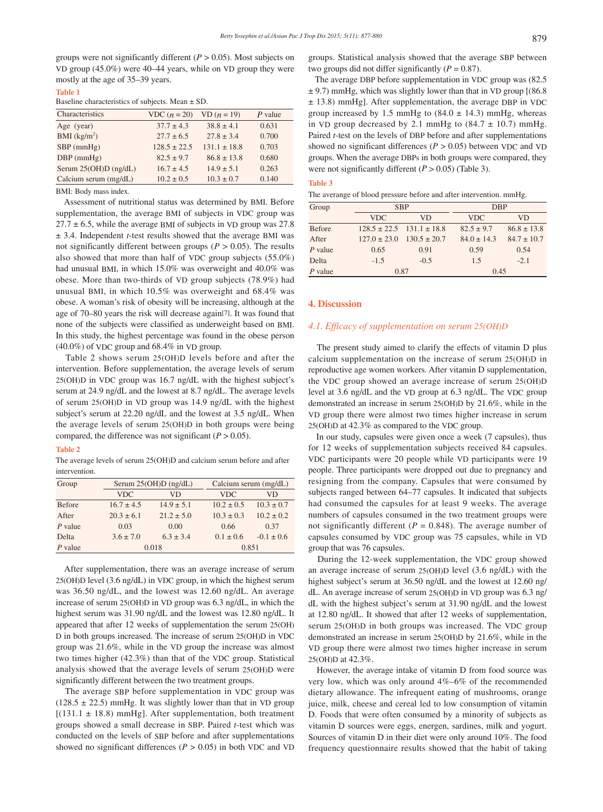groups were not significantly different  $(P > 0.05)$ . Most subjects on VD group (45.0%) were 40–44 years, while on VD group they were mostly at the age of 35–39 years.

#### **Table 1**

#### Baseline characteristics of subjects. Mean ± SD.

| Characteristics          | $VDC (n = 20)$   | $VD (n = 19)$  | $P$ value |
|--------------------------|------------------|----------------|-----------|
| Age (year)               | $37.7 \pm 4.3$   | $38.8 \pm 4.1$ | 0.631     |
| BMI (kg/m <sup>2</sup> ) | $277 + 65$       | $27.8 \pm 3.4$ | 0.700     |
| $SBP$ (mmHg)             | $128.5 \pm 22.5$ | $1311 + 188$   | 0.703     |
| $DBP$ (mmHg)             | $82.5 \pm 9.7$   | $868 + 138$    | 0.680     |
| Serum 25(OH)D (ng/dL)    | $167 + 45$       | $14.9 \pm 5.1$ | 0.263     |
| Calcium serum (mg/dL)    | $10.2 \pm 0.5$   | $10.3 \pm 0.7$ | 0.140     |

BMI: Body mass index.

 Assessment of nutritional status was determined by BMI. Before supplementation, the average BMI of subjects in VDC group was  $27.7 \pm 6.5$ , while the average BMI of subjects in VD group was 27.8 ± 3.4. Independent *t*-test results showed that the average BMI was not significantly different between groups ( $P > 0.05$ ). The results also showed that more than half of VDC group subjects (55.0%) had unusual BMI, in which 15.0% was overweight and 40.0% was obese. More than two-thirds of VD group subjects (78.9%) had unusual BMI, in which 10.5% was overweight and 68.4% was obese. A woman's risk of obesity will be increasing, although at the age of 70–80 years the risk will decrease again[7]. It was found that none of the subjects were classified as underweight based on BMI. In this study, the highest percentage was found in the obese person (40.0%) of VDC group and 68.4% in VD group.

 Table 2 shows serum 25(OH)D levels before and after the intervention. Before supplementation, the average levels of serum 25(OH)D in VDC group was 16.7 ng/dL with the highest subject's serum at 24.9 ng/dL and the lowest at 8.7 ng/dL. The average levels of serum 25(OH)D in VD group was 14.9 ng/dL with the highest subject's serum at 22.20 ng/dL and the lowest at 3.5 ng/dL. When the average levels of serum 25(OH)D in both groups were being compared, the difference was not significant  $(P > 0.05)$ .

#### **Table 2**

The average levels of serum 25(OH)D and calcium serum before and after intervention.

| Group         | Serum $25(OH)D$ (ng/dL) |                | Calcium serum (mg/dL) |                |  |
|---------------|-------------------------|----------------|-----------------------|----------------|--|
|               | <b>VDC</b>              | VD             | <b>VDC</b>            | VD             |  |
| <b>Before</b> | $16.7 \pm 4.5$          | $14.9 \pm 5.1$ | $10.2 \pm 0.5$        | $10.3 \pm 0.7$ |  |
| After         | $20.3 \pm 6.1$          | $21.2 \pm 5.0$ | $10.3 \pm 0.3$        | $10.2 \pm 0.2$ |  |
| $P$ value     | 0.03                    | 0.00           | 0.66                  | 0.37           |  |
| Delta         | $3.6 \pm 7.0$           | $6.3 \pm 3.4$  | $0.1 \pm 0.6$         | $-0.1 \pm 0.6$ |  |
| $P$ value     | 0.018                   |                | 0.851                 |                |  |

 After supplementation, there was an average increase of serum 25(OH)D level (3.6 ng/dL) in VDC group, in which the highest serum was 36.50 ng/dL, and the lowest was 12.60 ng/dL. An average increase of serum 25(OH)D in VD group was 6.3 ng/dL, in which the highest serum was 31.90 ng/dL and the lowest was 12.80 ng/dL. It appeared that after 12 weeks of supplementation the serum 25(OH) D in both groups increased. The increase of serum 25(OH)D in VDC group was 21.6%, while in the VD group the increase was almost two times higher (42.3%) than that of the VDC group. Statistical analysis showed that the average levels of serum 25(OH)D were significantly different between the two treatment groups.

 The average SBP before supplementation in VDC group was  $(128.5 \pm 22.5)$  mmHg. It was slightly lower than that in VD group  $[(131.1 \pm 18.8)$  mmHg]. After supplementation, both treatment groups showed a small decrease in SBP. Paired *t*-test which was conducted on the levels of SBP before and after supplementations showed no significant differences ( $P > 0.05$ ) in both VDC and VD

groups. Statistical analysis showed that the average SBP between two groups did not differ significantly  $(P = 0.87)$ .

 The average DBP before supplementation in VDC group was (82.5  $\pm$  9.7) mmHg, which was slightly lower than that in VD group [(86.8) ± 13.8) mmHg]. After supplementation, the average DBP in VDC group increased by 1.5 mmHg to  $(84.0 \pm 14.3)$  mmHg, whereas in VD group decreased by 2.1 mmHg to  $(84.7 \pm 10.7)$  mmHg. Paired *t*-test on the levels of DBP before and after supplementations showed no significant differences  $(P > 0.05)$  between VDC and VD groups. When the average DBPs in both groups were compared, they were not significantly different  $(P > 0.05)$  (Table 3).

#### **Table 3**

| The averange of blood pressure before and after intervention. mmHg. |  |  |  |
|---------------------------------------------------------------------|--|--|--|
|                                                                     |  |  |  |

| Group         | <b>SBP</b>                        |                                   | <b>DBP</b>      |                 |  |
|---------------|-----------------------------------|-----------------------------------|-----------------|-----------------|--|
|               | <b>VDC</b>                        | VD                                | <b>VDC</b>      | VD              |  |
| <b>Before</b> |                                   | $128.5 \pm 22.5$ $131.1 \pm 18.8$ | $82.5 \pm 9.7$  | $86.8 \pm 13.8$ |  |
| After         | $127.0 \pm 23.0$ $130.5 \pm 20.7$ |                                   | $84.0 \pm 14.3$ | $84.7 \pm 10.7$ |  |
| $P$ value     | 0.65                              | 0.91                              | 0.59            | 0.54            |  |
| Delta         | $-1.5$                            | $-0.5$                            | 1.5             | $-2.1$          |  |
| $P$ value     | 0.87                              |                                   | 0.45            |                 |  |

#### **4. Discussion**

#### *4.1. Efficacy of supplementation on serum 25(OH)D*

 The present study aimed to clarify the effects of vitamin D plus calcium supplementation on the increase of serum 25(OH)D in reproductive age women workers. After vitamin D supplementation, the VDC group showed an average increase of serum 25(OH)D level at 3.6 ng/dL and the VD group at 6.3 ng/dL. The VDC group demonstrated an increase in serum 25(OH)D by 21.6%, while in the VD group there were almost two times higher increase in serum 25(OH)D at 42.3% as compared to the VDC group.

 In our study, capsules were given once a week (7 capsules), thus for 12 weeks of supplementation subjects received 84 capsules. VDC participants were 20 people while VD participants were 19 people. Three participants were dropped out due to pregnancy and resigning from the company. Capsules that were consumed by subjects ranged between 64–77 capsules. It indicated that subjects had consumed the capsules for at least 9 weeks. The average numbers of capsules consumed in the two treatment groups were not significantly different ( $P = 0.848$ ). The average number of capsules consumed by VDC group was 75 capsules, while in VD group that was 76 capsules.

 During the 12-week supplementation, the VDC group showed an average increase of serum 25(OH)D level (3.6 ng/dL) with the highest subject's serum at 36.50 ng/dL and the lowest at 12.60 ng/ dL. An average increase of serum 25(OH)D in VD group was 6.3 ng/ dL with the highest subject's serum at 31.90 ng/dL and the lowest at 12.80 ng/dL. It showed that after 12 weeks of supplementation, serum 25(OH)D in both groups was increased. The VDC group demonstrated an increase in serum 25(OH)D by 21.6%, while in the VD group there were almost two times higher increase in serum 25(OH)D at 42.3%.

 However, the average intake of vitamin D from food source was very low, which was only around 4%–6% of the recommended dietary allowance. The infrequent eating of mushrooms, orange juice, milk, cheese and cereal led to low consumption of vitamin D. Foods that were often consumed by a minority of subjects as vitamin D sources were eggs, energen, sardines, milk and yogurt. Sources of vitamin D in their diet were only around 10%. The food frequency questionnaire results showed that the habit of taking